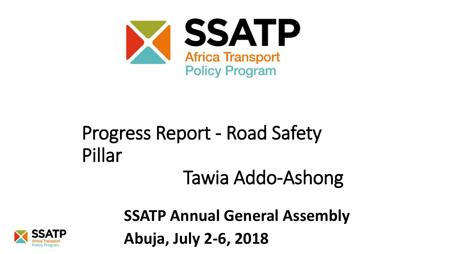

### Progress Report - Road Safety Pillar Tawia Addo-Ashong

**SSATP Annual General Assembly Abuja, July 2-6, 2018**

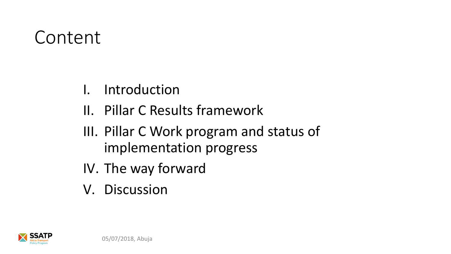#### Content

- I. Introduction
- II. Pillar C Results framework
- III. Pillar C Work program and status of implementation progress
- IV. The way forward
- V. Discussion

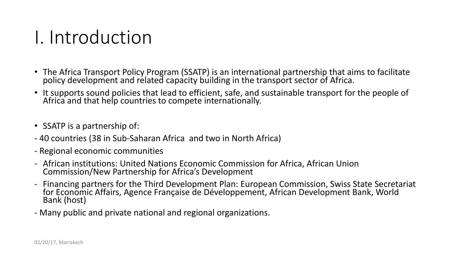#### I. Introduction

- The Africa Transport Policy Program (SSATP) is an international partnership that aims to facilitate policy development and related capacity building in the transport sector of Africa.
- It supports sound policies that lead to efficient, safe, and sustainable transport for the people of Africa and that help countries to compete internationally.
- SSATP is a partnership of:
- 40 countries (38 in Sub-Saharan Africa and two in North Africa)
- Regional economic communities
- African institutions: United Nations Economic Commission for Africa, African Union Commission/New Partnership for Africa's Development
- Financing partners for the Third Development Plan: European Commission, Swiss State Secretariat for Economic Affairs, Agence Française de Développement, African Development Bank, World Bank (host)
- Many public and private national and regional organizations.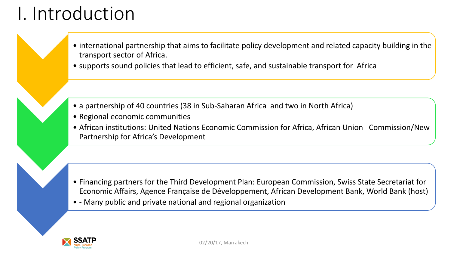## I. Introduction

- 
- international partnership that aims to facilitate policy development and related capacity building in the transport sector of Africa.
- supports sound policies that lead to efficient, safe, and sustainable transport for Africa
- a partnership of 40 countries (38 in Sub-Saharan Africa and two in North Africa)
- Regional economic communities
- African institutions: United Nations Economic Commission for Africa, African Union Commission/New Partnership for Africa's Development

- Financing partners for the Third Development Plan: European Commission, Swiss State Secretariat for Economic Affairs, Agence Française de Développement, African Development Bank, World Bank (host)
- - Many public and private national and regional organization

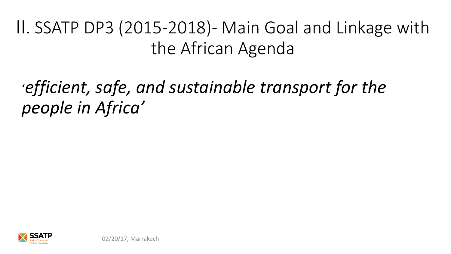#### II. SSATP DP3 (2015-2018)- Main Goal and Linkage with the African Agenda

#### '*efficient, safe, and sustainable transport for the people in Africa'*

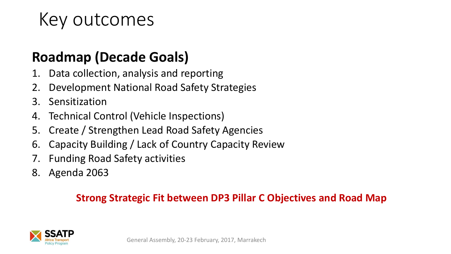#### Key outcomes

#### **Roadmap (Decade Goals)**

- 1. Data collection, analysis and reporting
- 2. Development National Road Safety Strategies
- 3. Sensitization
- 4. Technical Control (Vehicle Inspections)
- 5. Create / Strengthen Lead Road Safety Agencies
- 6. Capacity Building / Lack of Country Capacity Review
- 7. Funding Road Safety activities
- 8. Agenda 2063

#### **Strong Strategic Fit between DP3 Pillar C Objectives and Road Map**

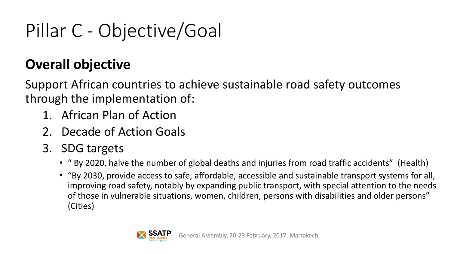# Pillar C - Objective/Goal

#### **Overall objective**

Support African countries to achieve sustainable road safety outcomes through the implementation of:

- 1. African Plan of Action
- 2. Decade of Action Goals
- 3. SDG targets
	- " By 2020, halve the number of global deaths and injuries from road traffic accidents" (Health)
	- "By 2030, provide access to safe, affordable, accessible and sustainable transport systems for all, improving road safety, notably by expanding public transport, with special attention to the needs of those in vulnerable situations, women, children, persons with disabilities and older persons" (Cities)

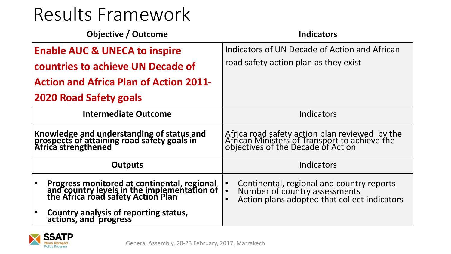| <b>Objective / Outcome</b>                                                                                                       | <b>Indicators</b>                                                                                                                                                 |
|----------------------------------------------------------------------------------------------------------------------------------|-------------------------------------------------------------------------------------------------------------------------------------------------------------------|
| <b>Enable AUC &amp; UNECA to inspire</b>                                                                                         | Indicators of UN Decade of Action and African                                                                                                                     |
| countries to achieve UN Decade of                                                                                                | road safety action plan as they exist                                                                                                                             |
| <b>Action and Africa Plan of Action 2011-</b>                                                                                    |                                                                                                                                                                   |
| <b>2020 Road Safety goals</b>                                                                                                    |                                                                                                                                                                   |
| <b>Intermediate Outcome</b>                                                                                                      | Indicators                                                                                                                                                        |
| Knowledge and understanding of status and<br>prospects of attaining road safety goals in<br>Africa strengthened                  | Africa road safety action plan reviewed by the<br>African Ministers of Transport to achieve the<br>objectives of the Decade of Action                             |
| <b>Outputs</b>                                                                                                                   | Indicators                                                                                                                                                        |
| Progress monitored at continental, regional<br>and country levels in the implementation of<br>the Africa road safety Action Plan | Continental, regional and country reports<br>$\bullet$<br>Number of country assessments<br>$\bullet$<br>Action plans adopted that collect indicators<br>$\bullet$ |
| <b>Country analysis of reporting status,<br/>actions, and progress</b>                                                           |                                                                                                                                                                   |

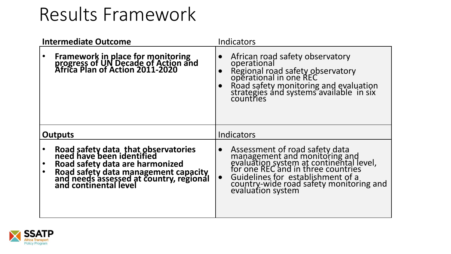| <b>Intermediate Outcome</b>                                                                                                                                                                                     | Indicators                                                                                                                                                                                                                                                                      |
|-----------------------------------------------------------------------------------------------------------------------------------------------------------------------------------------------------------------|---------------------------------------------------------------------------------------------------------------------------------------------------------------------------------------------------------------------------------------------------------------------------------|
| <b>Framework in place for monitoring<br/>progress of UN Decade of Action and<br/>Africa Plan of Action 2011-2020</b>                                                                                            | African road safety observatory<br>operational<br>Regional road safety observatory<br>operational in one REC<br>Road safety monitoring and evaluation<br>strategies and systems available in six<br>countries                                                                   |
| <b>Outputs</b>                                                                                                                                                                                                  | Indicators                                                                                                                                                                                                                                                                      |
| Road safety data that observatories<br>need have been identified<br>Road safety data are harmonized<br>Road safety data management capacity<br>and needs assessed at country, regional<br>and continental level | Assessment of road safety data<br>management and monitoring and<br>evaluation system at continental level,<br>for one REC and in three countries<br>$\bullet$<br>Guidelines for establishment of a<br>country-wide road safety monitoring and<br>$\bullet$<br>evaluation system |

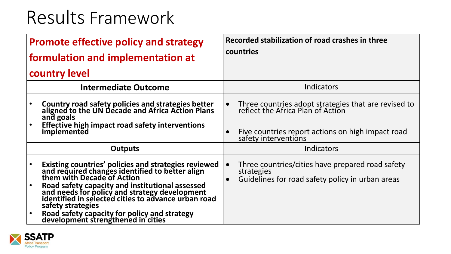| <b>Promote effective policy and strategy</b>                                                                                                            | Recorded stabilization of road crashes in three                                           |
|---------------------------------------------------------------------------------------------------------------------------------------------------------|-------------------------------------------------------------------------------------------|
| formulation and implementation at                                                                                                                       | countries                                                                                 |
| country level                                                                                                                                           |                                                                                           |
| <b>Intermediate Outcome</b>                                                                                                                             | Indicators                                                                                |
| <b>Country road safety policies and strategies better<br/>aligned to the UN Decade and Africa Action Plans</b>                                          | Three countries adopt strategies that are revised to<br>reflect the Africa Plan of Action |
| and goals                                                                                                                                               | $\bullet$                                                                                 |
| Effective high impact road safety interventions                                                                                                         | Five countries report actions on high impact road                                         |
| implemented                                                                                                                                             | safety interventions                                                                      |
| <b>Outputs</b>                                                                                                                                          | Indicators                                                                                |
| Existing countries' policies and strategies reviewed<br>and required changes identified to better align<br>them with Decade of Action                   | Three countries/cities have prepared road safety                                          |
| Road safety capacity and institutional assessed<br>and needs for policy and strategy development<br>identified in selected cities to advance urban road | $\bullet$                                                                                 |
| safety strategies                                                                                                                                       | strategies                                                                                |
| Road safety capacity for policy and strategy                                                                                                            | Guidelines for road safety policy in urban areas                                          |
| development strengthened in cities                                                                                                                      | $\bullet$                                                                                 |

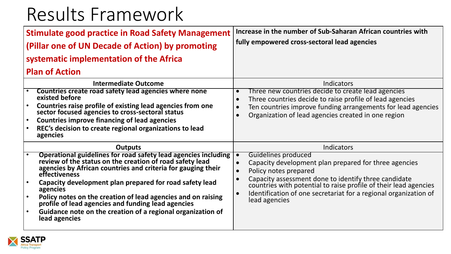| <b>Stimulate good practice in Road Safety Management</b><br>(Pillar one of UN Decade of Action) by promoting<br>systematic implementation of the Africa<br><b>Plan of Action</b>                                                                                                                                                                                                                                                                                                                                               | Increase in the number of Sub-Saharan African countries with<br>fully empowered cross-sectoral lead agencies                                                                                                                                                                                                                                                          |
|--------------------------------------------------------------------------------------------------------------------------------------------------------------------------------------------------------------------------------------------------------------------------------------------------------------------------------------------------------------------------------------------------------------------------------------------------------------------------------------------------------------------------------|-----------------------------------------------------------------------------------------------------------------------------------------------------------------------------------------------------------------------------------------------------------------------------------------------------------------------------------------------------------------------|
| <b>Intermediate Outcome</b><br>Countries create road safety lead agencies where none<br>existed before<br>Countries raise profile of existing lead agencies from one<br>sector focused agencies to cross-sectoral status<br><b>Countries improve financing of lead agencies</b><br>$\bullet$<br>REC's decision to create regional organizations to lead<br>agencies                                                                                                                                                            | <b>Indicators</b><br>Three new countries decide to create lead agencies<br>$\bullet$<br>Three countries decide to raise profile of lead agencies<br>$\bullet$<br>Ten countries improve funding arrangements for lead agencies<br>Organization of lead agencies created in one region<br>$\bullet$                                                                     |
| <b>Outputs</b><br><b>Operational guidelines for road safety lead agencies including</b><br>review of the status on the creation of road safety lead<br>agencies by African countries and criteria for gauging their<br>effectiveness<br>Capacity development plan prepared for road safety lead<br>agencies<br>Policy notes on the creation of lead agencies and on raising<br>$\bullet$<br>profile of lead agencies and funding lead agencies<br>Guidance note on the creation of a regional organization of<br>lead agencies | <b>Indicators</b><br>Guidelines produced<br>$\bullet$<br>Capacity development plan prepared for three agencies<br>Policy notes prepared<br>Capacity assessment done to identify three candidate<br>countries with potential to raise profile of their lead agencies<br>Identification of one secretariat for a regional organization of<br>$\bullet$<br>lead agencies |

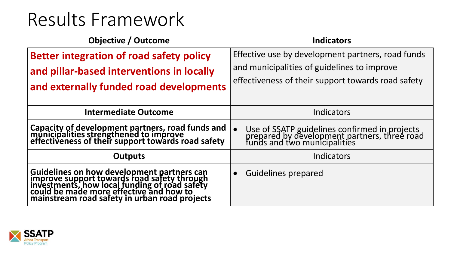| <b>Objective / Outcome</b>                                                                                                                                                                                                             | <b>Indicators</b>                                                                                                             |
|----------------------------------------------------------------------------------------------------------------------------------------------------------------------------------------------------------------------------------------|-------------------------------------------------------------------------------------------------------------------------------|
| <b>Better integration of road safety policy</b>                                                                                                                                                                                        | Effective use by development partners, road funds                                                                             |
| and pillar-based interventions in locally                                                                                                                                                                                              | and municipalities of guidelines to improve                                                                                   |
| and externally funded road developments                                                                                                                                                                                                | effectiveness of their support towards road safety                                                                            |
| <b>Intermediate Outcome</b>                                                                                                                                                                                                            | Indicators                                                                                                                    |
| Capacity of development partners, road funds and<br>municipalities strengthened to improve<br>effectiveness of their support towards road safety                                                                                       | Use of SSATP guidelines confirmed in projects<br>prepared by development partners, three road<br>funds and two municipalities |
| <b>Outputs</b>                                                                                                                                                                                                                         | Indicators                                                                                                                    |
| Guidelines on how development partners can<br>improve support towards road safety through<br>investments, how local funding of road safety<br>could be made more effective and how to<br>mainstream road safety in urban road projects | <b>Guidelines prepared</b>                                                                                                    |

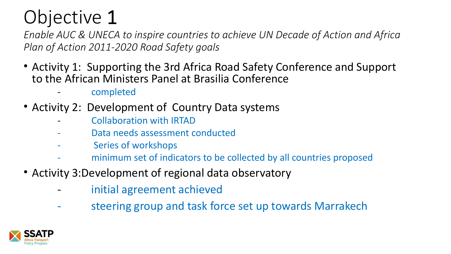*Enable AUC & UNECA to inspire countries to achieve UN Decade of Action and Africa Plan of Action 2011-2020 Road Safety goals* 

- Activity 1: Supporting the 3rd Africa Road Safety Conference and Support to the African Ministers Panel at Brasilia Conference
	- completed
- Activity 2: Development of Country Data systems
	- Collaboration with IRTAD
	- Data needs assessment conducted
	- Series of workshops
	- minimum set of indicators to be collected by all countries proposed
- Activity 3:Development of regional data observatory
	- initial agreement achieved
	- steering group and task force set up towards Marrakech

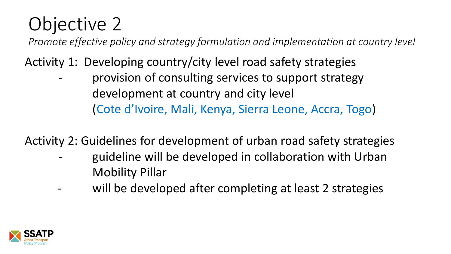*Promote effective policy and strategy formulation and implementation at country level* 

Activity 1: Developing country/city level road safety strategies

provision of consulting services to support strategy development at country and city level (Cote d'Ivoire, Mali, Kenya, Sierra Leone, Accra, Togo)

Activity 2: Guidelines for development of urban road safety strategies

- guideline will be developed in collaboration with Urban Mobility Pillar
- will be developed after completing at least 2 strategies

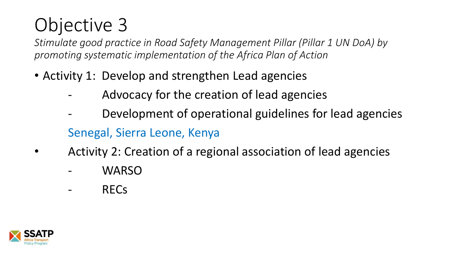*Stimulate good practice in Road Safety Management Pillar (Pillar 1 UN DoA) by promoting systematic implementation of the Africa Plan of Action*

- Activity 1: Develop and strengthen Lead agencies
	- Advocacy for the creation of lead agencies
	- Development of operational guidelines for lead agencies Senegal, Sierra Leone, Kenya
- Activity 2: Creation of a regional association of lead agencies
	- WARSO
	- RECs

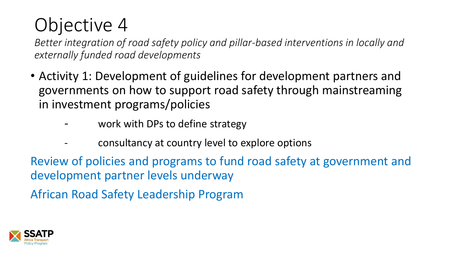*Better integration of road safety policy and pillar-based interventions in locally and externally funded road developments* 

- Activity 1: Development of guidelines for development partners and governments on how to support road safety through mainstreaming in investment programs/policies
	- work with DPs to define strategy
		- consultancy at country level to explore options

Review of policies and programs to fund road safety at government and development partner levels underway

African Road Safety Leadership Program